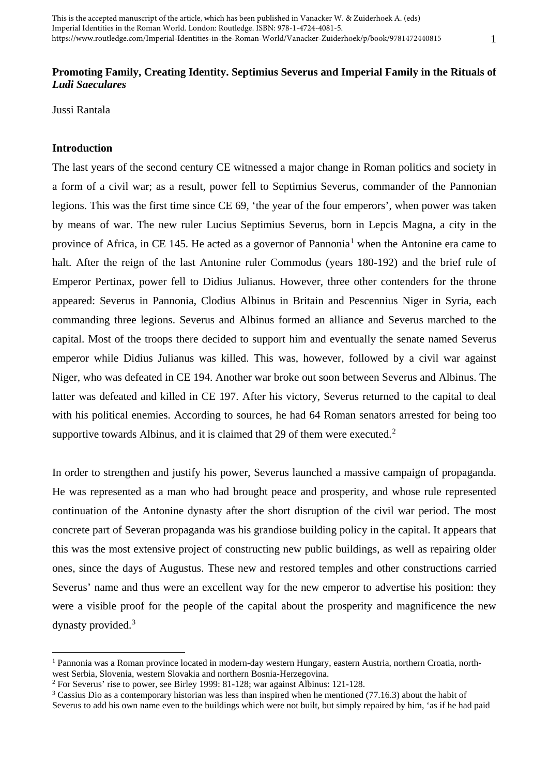# **Promoting Family, Creating Identity. Septimius Severus and Imperial Family in the Rituals of**  *Ludi Saeculares*

Jussi Rantala

## **Introduction**

The last years of the second century CE witnessed a major change in Roman politics and society in a form of a civil war; as a result, power fell to Septimius Severus, commander of the Pannonian legions. This was the first time since CE 69, 'the year of the four emperors', when power was taken by means of war. The new ruler Lucius Septimius Severus, born in Lepcis Magna, a city in the province of Africa, in CE [1](#page-0-0)45. He acted as a governor of Pannonia<sup>1</sup> when the Antonine era came to halt. After the reign of the last Antonine ruler Commodus (years 180-192) and the brief rule of Emperor Pertinax, power fell to Didius Julianus. However, three other contenders for the throne appeared: Severus in Pannonia, Clodius Albinus in Britain and Pescennius Niger in Syria, each commanding three legions. Severus and Albinus formed an alliance and Severus marched to the capital. Most of the troops there decided to support him and eventually the senate named Severus emperor while Didius Julianus was killed. This was, however, followed by a civil war against Niger, who was defeated in CE 194. Another war broke out soon between Severus and Albinus. The latter was defeated and killed in CE 197. After his victory, Severus returned to the capital to deal with his political enemies. According to sources, he had 64 Roman senators arrested for being too supportive towards Albinus, and it is claimed that [2](#page-0-1)9 of them were executed.<sup>2</sup>

In order to strengthen and justify his power, Severus launched a massive campaign of propaganda. He was represented as a man who had brought peace and prosperity, and whose rule represented continuation of the Antonine dynasty after the short disruption of the civil war period. The most concrete part of Severan propaganda was his grandiose building policy in the capital. It appears that this was the most extensive project of constructing new public buildings, as well as repairing older ones, since the days of Augustus. These new and restored temples and other constructions carried Severus' name and thus were an excellent way for the new emperor to advertise his position: they were a visible proof for the people of the capital about the prosperity and magnificence the new dynasty provided.[3](#page-0-2)

<span id="page-0-0"></span><sup>1</sup> Pannonia was a Roman province located in modern-day western Hungary, eastern Austria, northern Croatia, northwest Serbia, Slovenia, western Slovakia and northern Bosnia-Herzegovina.

<span id="page-0-1"></span><sup>2</sup> For Severus' rise to power, see Birley 1999: 81-128; war against Albinus: 121-128.

<span id="page-0-2"></span><sup>&</sup>lt;sup>3</sup> Cassius Dio as a contemporary historian was less than inspired when he mentioned (77.16.3) about the habit of Severus to add his own name even to the buildings which were not built, but simply repaired by him, 'as if he had paid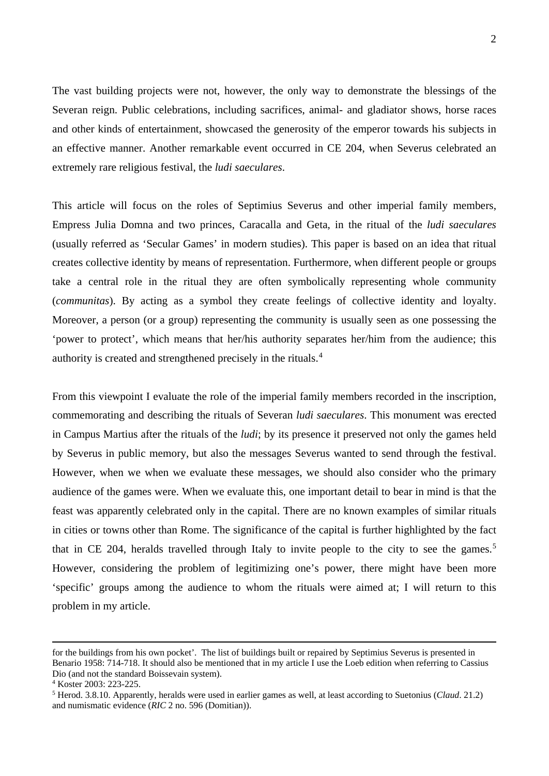The vast building projects were not, however, the only way to demonstrate the blessings of the Severan reign. Public celebrations, including sacrifices, animal- and gladiator shows, horse races and other kinds of entertainment, showcased the generosity of the emperor towards his subjects in an effective manner. Another remarkable event occurred in CE 204, when Severus celebrated an extremely rare religious festival, the *ludi saeculares*.

This article will focus on the roles of Septimius Severus and other imperial family members, Empress Julia Domna and two princes, Caracalla and Geta, in the ritual of the *ludi saeculares*  (usually referred as 'Secular Games' in modern studies). This paper is based on an idea that ritual creates collective identity by means of representation. Furthermore, when different people or groups take a central role in the ritual they are often symbolically representing whole community (*communitas*). By acting as a symbol they create feelings of collective identity and loyalty. Moreover, a person (or a group) representing the community is usually seen as one possessing the 'power to protect', which means that her/his authority separates her/him from the audience; this authority is created and strengthened precisely in the rituals.[4](#page-1-0)

From this viewpoint I evaluate the role of the imperial family members recorded in the inscription, commemorating and describing the rituals of Severan *ludi saeculares*. This monument was erected in Campus Martius after the rituals of the *ludi*; by its presence it preserved not only the games held by Severus in public memory, but also the messages Severus wanted to send through the festival. However, when we when we evaluate these messages, we should also consider who the primary audience of the games were. When we evaluate this, one important detail to bear in mind is that the feast was apparently celebrated only in the capital. There are no known examples of similar rituals in cities or towns other than Rome. The significance of the capital is further highlighted by the fact that in CE 204, heralds travelled through Italy to invite people to the city to see the games.<sup>[5](#page-1-1)</sup> However, considering the problem of legitimizing one's power, there might have been more 'specific' groups among the audience to whom the rituals were aimed at; I will return to this problem in my article.

for the buildings from his own pocket'. The list of buildings built or repaired by Septimius Severus is presented in Benario 1958: 714-718. It should also be mentioned that in my article I use the Loeb edition when referring to Cassius Dio (and not the standard Boissevain system).

<span id="page-1-0"></span><sup>4</sup> Koster 2003: 223-225.

<span id="page-1-1"></span><sup>5</sup> Herod. 3.8.10. Apparently, heralds were used in earlier games as well, at least according to Suetonius (*Claud*. 21.2) and numismatic evidence (*RIC* 2 no. 596 (Domitian)).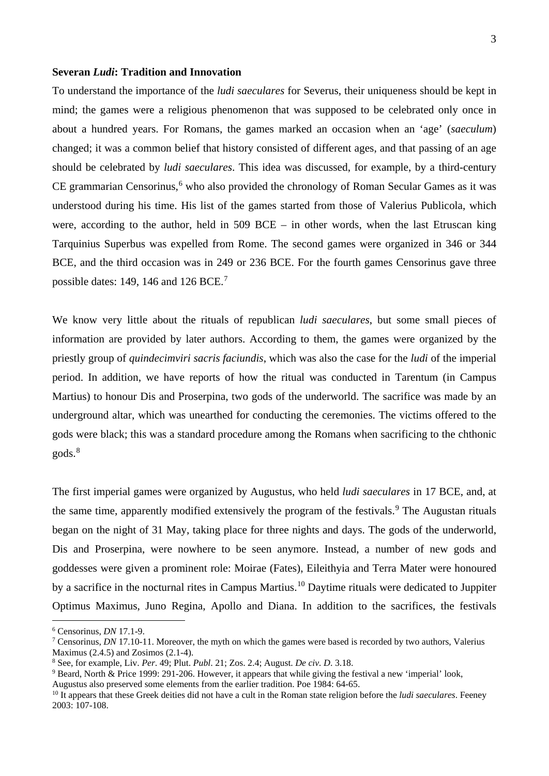#### **Severan** *Ludi***: Tradition and Innovation**

To understand the importance of the *ludi saeculares* for Severus, their uniqueness should be kept in mind; the games were a religious phenomenon that was supposed to be celebrated only once in about a hundred years. For Romans, the games marked an occasion when an 'age' (*saeculum*) changed; it was a common belief that history consisted of different ages, and that passing of an age should be celebrated by *ludi saeculares*. This idea was discussed, for example, by a third-century  $CE$  grammarian Censorinus,<sup>[6](#page-2-0)</sup> who also provided the chronology of Roman Secular Games as it was understood during his time. His list of the games started from those of Valerius Publicola, which were, according to the author, held in 509 BCE – in other words, when the last Etruscan king Tarquinius Superbus was expelled from Rome. The second games were organized in 346 or 344 BCE, and the third occasion was in 249 or 236 BCE. For the fourth games Censorinus gave three possible dates: 149, 146 and 126 BCE.[7](#page-2-1)

We know very little about the rituals of republican *ludi saeculares*, but some small pieces of information are provided by later authors. According to them, the games were organized by the priestly group of *quindecimviri sacris faciundis*, which was also the case for the *ludi* of the imperial period. In addition, we have reports of how the ritual was conducted in Tarentum (in Campus Martius) to honour Dis and Proserpina, two gods of the underworld. The sacrifice was made by an underground altar, which was unearthed for conducting the ceremonies. The victims offered to the gods were black; this was a standard procedure among the Romans when sacrificing to the chthonic gods.[8](#page-2-2)

The first imperial games were organized by Augustus, who held *ludi saeculares* in 17 BCE, and, at the same time, apparently modified extensively the program of the festivals.<sup>[9](#page-2-3)</sup> The Augustan rituals began on the night of 31 May, taking place for three nights and days. The gods of the underworld, Dis and Proserpina, were nowhere to be seen anymore. Instead, a number of new gods and goddesses were given a prominent role: Moirae (Fates), Eileithyia and Terra Mater were honoured by a sacrifice in the nocturnal rites in Campus Martius.<sup>[10](#page-2-4)</sup> Daytime rituals were dedicated to Juppiter Optimus Maximus, Juno Regina, Apollo and Diana. In addition to the sacrifices, the festivals

<span id="page-2-0"></span> <sup>6</sup> Censorinus, *DN* 17.1-9.

<span id="page-2-1"></span><sup>7</sup> Censorinus, *DN* 17.10-11. Moreover, the myth on which the games were based is recorded by two authors, Valerius Maximus (2.4.5) and Zosimos (2.1-4).

<span id="page-2-2"></span><sup>8</sup> See, for example, Liv. *Per*. 49; Plut. *Publ*. 21; Zos. 2.4; August. *De civ. D*. 3.18.

<span id="page-2-3"></span><sup>&</sup>lt;sup>9</sup> Beard, North & Price 1999: 291-206. However, it appears that while giving the festival a new 'imperial' look,

Augustus also preserved some elements from the earlier tradition. Poe 1984: 64-65.

<span id="page-2-4"></span><sup>&</sup>lt;sup>10</sup> It appears that these Greek deities did not have a cult in the Roman state religion before the *ludi saeculares*. Feeney 2003: 107-108.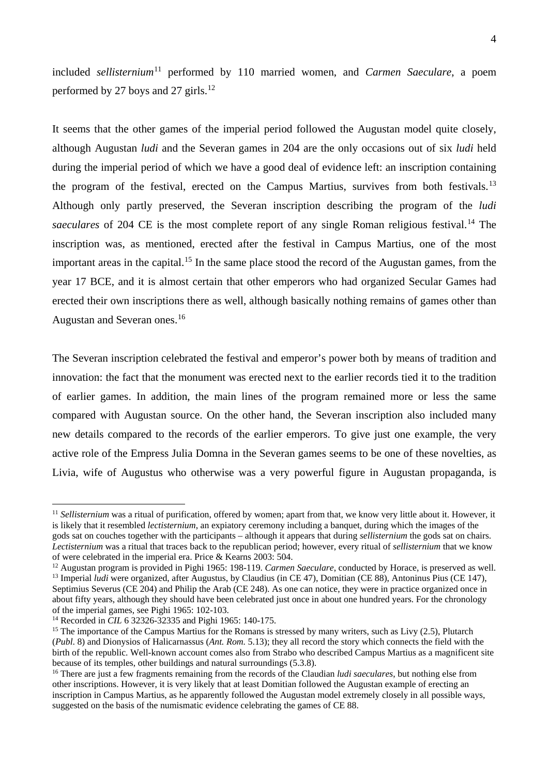included *sellisternium*<sup>[11](#page-3-0)</sup> performed by 110 married women, and *Carmen Saeculare*, a poem performed by 27 boys and 27 girls.<sup>[12](#page-3-1)</sup>

It seems that the other games of the imperial period followed the Augustan model quite closely, although Augustan *ludi* and the Severan games in 204 are the only occasions out of six *ludi* held during the imperial period of which we have a good deal of evidence left: an inscription containing the program of the festival, erected on the Campus Martius, survives from both festivals.<sup>[13](#page-3-2)</sup> Although only partly preserved, the Severan inscription describing the program of the *ludi*  saeculares of 204 CE is the most complete report of any single Roman religious festival.<sup>[14](#page-3-3)</sup> The inscription was, as mentioned, erected after the festival in Campus Martius, one of the most important areas in the capital.<sup>[15](#page-3-4)</sup> In the same place stood the record of the Augustan games, from the year 17 BCE, and it is almost certain that other emperors who had organized Secular Games had erected their own inscriptions there as well, although basically nothing remains of games other than Augustan and Severan ones.[16](#page-3-5)

The Severan inscription celebrated the festival and emperor's power both by means of tradition and innovation: the fact that the monument was erected next to the earlier records tied it to the tradition of earlier games. In addition, the main lines of the program remained more or less the same compared with Augustan source. On the other hand, the Severan inscription also included many new details compared to the records of the earlier emperors. To give just one example, the very active role of the Empress Julia Domna in the Severan games seems to be one of these novelties, as Livia, wife of Augustus who otherwise was a very powerful figure in Augustan propaganda, is

<span id="page-3-0"></span><sup>&</sup>lt;sup>11</sup> *Sellisternium* was a ritual of purification, offered by women; apart from that, we know very little about it. However, it is likely that it resembled *lectisternium*, an expiatory ceremony including a banquet, during which the images of the gods sat on couches together with the participants – although it appears that during *sellisternium* the gods sat on chairs. *Lectisternium* was a ritual that traces back to the republican period; however, every ritual of *sellisternium* that we know of were celebrated in the imperial era. Price & Kearns 2003: 504.

<span id="page-3-1"></span><sup>&</sup>lt;sup>12</sup> Augustan program is provided in Pighi 1965: 198-119. *Carmen Saeculare*, conducted by Horace, is preserved as well.

<span id="page-3-2"></span><sup>13</sup> Imperial *ludi* were organized, after Augustus, by Claudius (in CE 47), Domitian (CE 88), Antoninus Pius (CE 147), Septimius Severus (CE 204) and Philip the Arab (CE 248). As one can notice, they were in practice organized once in about fifty years, although they should have been celebrated just once in about one hundred years. For the chronology of the imperial games, see Pighi 1965: 102-103.

<span id="page-3-3"></span><sup>14</sup> Recorded in *CIL* 6 32326-32335 and Pighi 1965: 140-175.

<span id="page-3-4"></span><sup>&</sup>lt;sup>15</sup> The importance of the Campus Martius for the Romans is stressed by many writers, such as Livy (2.5), Plutarch (*Publ*. 8) and Dionysios of Halicarnassus (*Ant. Rom.* 5.13); they all record the story which connects the field with the birth of the republic. Well-known account comes also from Strabo who described Campus Martius as a magnificent site because of its temples, other buildings and natural surroundings (5.3.8).

<span id="page-3-5"></span><sup>&</sup>lt;sup>16</sup> There are just a few fragments remaining from the records of the Claudian *ludi saeculares*, but nothing else from other inscriptions. However, it is very likely that at least Domitian followed the Augustan example of erecting an inscription in Campus Martius, as he apparently followed the Augustan model extremely closely in all possible ways, suggested on the basis of the numismatic evidence celebrating the games of CE 88.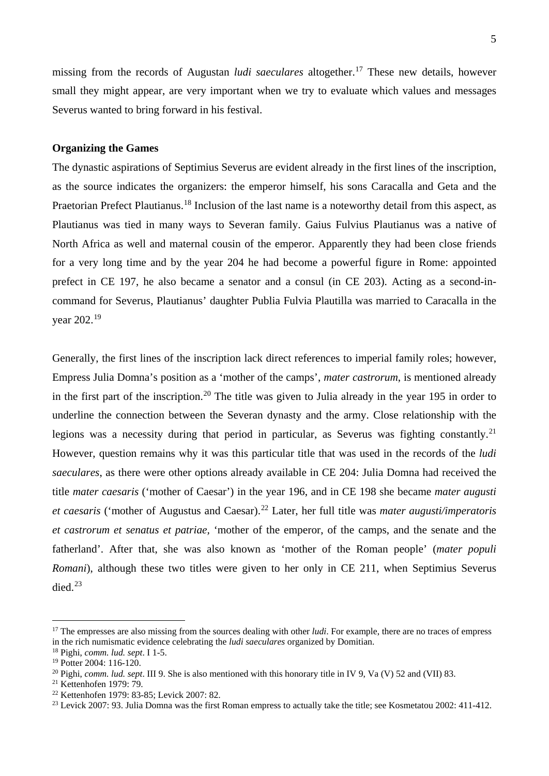missing from the records of Augustan *ludi saeculares* altogether. [17](#page-4-0) These new details, however small they might appear, are very important when we try to evaluate which values and messages Severus wanted to bring forward in his festival.

### **Organizing the Games**

The dynastic aspirations of Septimius Severus are evident already in the first lines of the inscription, as the source indicates the organizers: the emperor himself, his sons Caracalla and Geta and the Praetorian Prefect Plautianus.<sup>[18](#page-4-1)</sup> Inclusion of the last name is a noteworthy detail from this aspect, as Plautianus was tied in many ways to Severan family. Gaius Fulvius Plautianus was a native of North Africa as well and maternal cousin of the emperor. Apparently they had been close friends for a very long time and by the year 204 he had become a powerful figure in Rome: appointed prefect in CE 197, he also became a senator and a consul (in CE 203). Acting as a second-incommand for Severus, Plautianus' daughter Publia Fulvia Plautilla was married to Caracalla in the year 202.[19](#page-4-2)

Generally, the first lines of the inscription lack direct references to imperial family roles; however, Empress Julia Domna's position as a 'mother of the camps', *mater castrorum*, is mentioned already in the first part of the inscription.<sup>[20](#page-4-3)</sup> The title was given to Julia already in the year 195 in order to underline the connection between the Severan dynasty and the army. Close relationship with the legions was a necessity during that period in particular, as Severus was fighting constantly.<sup>[21](#page-4-4)</sup> However, question remains why it was this particular title that was used in the records of the *ludi saeculares*, as there were other options already available in CE 204: Julia Domna had received the title *mater caesaris* ('mother of Caesar') in the year 196, and in CE 198 she became *mater augusti et caesaris* ('mother of Augustus and Caesar). [22](#page-4-5) Later, her full title was *mater augusti/imperatoris et castrorum et senatus et patriae,* 'mother of the emperor, of the camps, and the senate and the fatherland'. After that, she was also known as 'mother of the Roman people' (*mater populi Romani*), although these two titles were given to her only in CE 211, when Septimius Severus died.<sup>[23](#page-4-6)</sup>

<span id="page-4-0"></span><sup>&</sup>lt;sup>17</sup> The empresses are also missing from the sources dealing with other *ludi*. For example, there are no traces of empress in the rich numismatic evidence celebrating the *ludi saeculares* organized by Domitian.

<span id="page-4-1"></span><sup>18</sup> Pighi, *comm. lud. sept*. I 1-5.

<span id="page-4-2"></span><sup>&</sup>lt;sup>19</sup> Potter 2004: 116-120.

<span id="page-4-3"></span><sup>20</sup> Pighi, *comm. lud. sept*. III 9. She is also mentioned with this honorary title in IV 9, Va (V) 52 and (VII) 83.

<span id="page-4-4"></span><sup>21</sup> Kettenhofen 1979: 79.

<span id="page-4-5"></span><sup>22</sup> Kettenhofen 1979: 83-85; Levick 2007: 82.

<span id="page-4-6"></span><sup>&</sup>lt;sup>23</sup> Levick 2007: 93. Julia Domna was the first Roman empress to actually take the title; see Kosmetatou 2002: 411-412.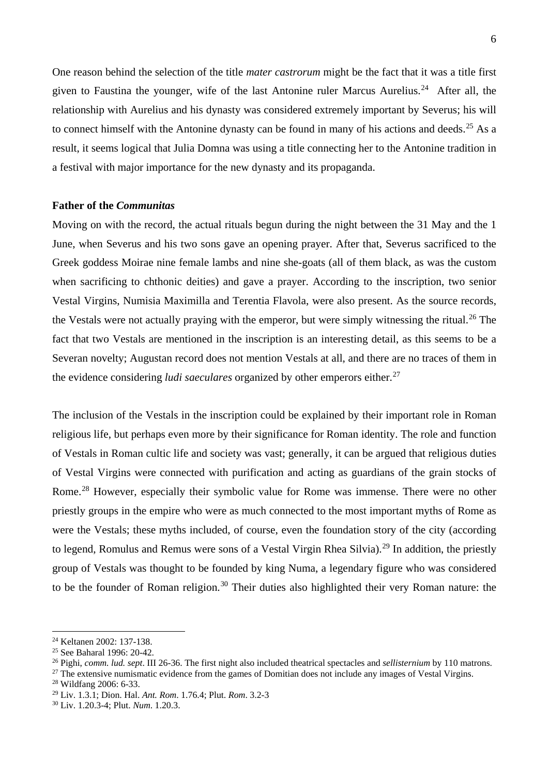One reason behind the selection of the title *mater castrorum* might be the fact that it was a title first given to Faustina the younger, wife of the last Antonine ruler Marcus Aurelius.<sup>[24](#page-5-0)</sup> After all, the relationship with Aurelius and his dynasty was considered extremely important by Severus; his will to connect himself with the Antonine dynasty can be found in many of his actions and deeds.<sup>[25](#page-5-1)</sup> As a result, it seems logical that Julia Domna was using a title connecting her to the Antonine tradition in a festival with major importance for the new dynasty and its propaganda.

#### **Father of the** *Communitas*

Moving on with the record, the actual rituals begun during the night between the 31 May and the 1 June, when Severus and his two sons gave an opening prayer. After that, Severus sacrificed to the Greek goddess Moirae nine female lambs and nine she-goats (all of them black, as was the custom when sacrificing to chthonic deities) and gave a prayer. According to the inscription, two senior Vestal Virgins, Numisia Maximilla and Terentia Flavola, were also present. As the source records, the Vestals were not actually praying with the emperor, but were simply witnessing the ritual.<sup>[26](#page-5-2)</sup> The fact that two Vestals are mentioned in the inscription is an interesting detail, as this seems to be a Severan novelty; Augustan record does not mention Vestals at all, and there are no traces of them in the evidence considering *ludi saeculares* organized by other emperors either.<sup>[27](#page-5-3)</sup>

The inclusion of the Vestals in the inscription could be explained by their important role in Roman religious life, but perhaps even more by their significance for Roman identity. The role and function of Vestals in Roman cultic life and society was vast; generally, it can be argued that religious duties of Vestal Virgins were connected with purification and acting as guardians of the grain stocks of Rome.[28](#page-5-4) However, especially their symbolic value for Rome was immense. There were no other priestly groups in the empire who were as much connected to the most important myths of Rome as were the Vestals; these myths included, of course, even the foundation story of the city (according to legend, Romulus and Remus were sons of a Vestal Virgin Rhea Silvia).<sup>[29](#page-5-5)</sup> In addition, the priestly group of Vestals was thought to be founded by king Numa, a legendary figure who was considered to be the founder of Roman religion.<sup>[30](#page-5-6)</sup> Their duties also highlighted their very Roman nature: the

<span id="page-5-0"></span> <sup>24</sup> Keltanen 2002: 137-138.

<span id="page-5-1"></span><sup>25</sup> See Baharal 1996: 20-42.

<span id="page-5-2"></span><sup>26</sup> Pighi, *comm. lud. sept*. III 26-36. The first night also included theatrical spectacles and *sellisternium* by 110 matrons.

<span id="page-5-3"></span> $27$  The extensive numismatic evidence from the games of Domitian does not include any images of Vestal Virgins.

<span id="page-5-4"></span><sup>28</sup> Wildfang 2006: 6-33.

<span id="page-5-5"></span><sup>29</sup> Liv. 1.3.1; Dion. Hal. *Ant. Rom*. 1.76.4; Plut. *Rom*. 3.2-3

<span id="page-5-6"></span><sup>30</sup> Liv. 1.20.3-4; Plut. *Num*. 1.20.3.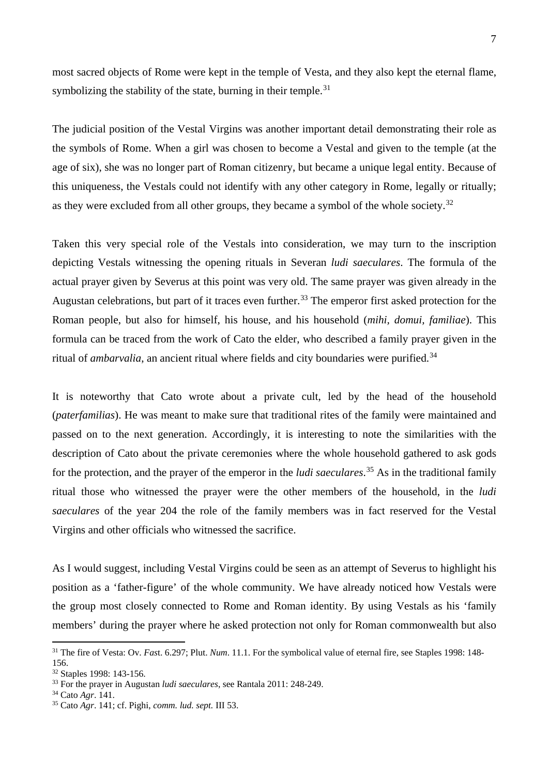most sacred objects of Rome were kept in the temple of Vesta, and they also kept the eternal flame, symbolizing the stability of the state, burning in their temple.<sup>[31](#page-6-0)</sup>

The judicial position of the Vestal Virgins was another important detail demonstrating their role as the symbols of Rome. When a girl was chosen to become a Vestal and given to the temple (at the age of six), she was no longer part of Roman citizenry, but became a unique legal entity. Because of this uniqueness, the Vestals could not identify with any other category in Rome, legally or ritually; as they were excluded from all other groups, they became a symbol of the whole society. $32$ 

Taken this very special role of the Vestals into consideration, we may turn to the inscription depicting Vestals witnessing the opening rituals in Severan *ludi saeculares*. The formula of the actual prayer given by Severus at this point was very old. The same prayer was given already in the Augustan celebrations, but part of it traces even further.<sup>[33](#page-6-2)</sup> The emperor first asked protection for the Roman people, but also for himself, his house, and his household (*mihi, domui, familiae*). This formula can be traced from the work of Cato the elder, who described a family prayer given in the ritual of *ambarvalia*, an ancient ritual where fields and city boundaries were purified.<sup>[34](#page-6-3)</sup>

It is noteworthy that Cato wrote about a private cult, led by the head of the household (*paterfamilias*). He was meant to make sure that traditional rites of the family were maintained and passed on to the next generation. Accordingly, it is interesting to note the similarities with the description of Cato about the private ceremonies where the whole household gathered to ask gods for the protection, and the prayer of the emperor in the *ludi saeculares*. [35](#page-6-4) As in the traditional family ritual those who witnessed the prayer were the other members of the household, in the *ludi saeculares* of the year 204 the role of the family members was in fact reserved for the Vestal Virgins and other officials who witnessed the sacrifice.

As I would suggest, including Vestal Virgins could be seen as an attempt of Severus to highlight his position as a 'father-figure' of the whole community. We have already noticed how Vestals were the group most closely connected to Rome and Roman identity. By using Vestals as his 'family members' during the prayer where he asked protection not only for Roman commonwealth but also

<span id="page-6-0"></span><sup>&</sup>lt;sup>31</sup> The fire of Vesta: Ov. *Fast.* 6.297; Plut. *Num.* 11.1. For the symbolical value of eternal fire, see Staples 1998: 148-156.

<span id="page-6-1"></span><sup>32</sup> Staples 1998: 143-156.

<span id="page-6-2"></span><sup>33</sup> For the prayer in Augustan *ludi saeculares*, see Rantala 2011: 248-249.

<span id="page-6-3"></span><sup>34</sup> Cato *Agr*. 141.

<span id="page-6-4"></span><sup>35</sup> Cato *Agr*. 141; cf. Pighi, *comm. lud. sept.* III 53.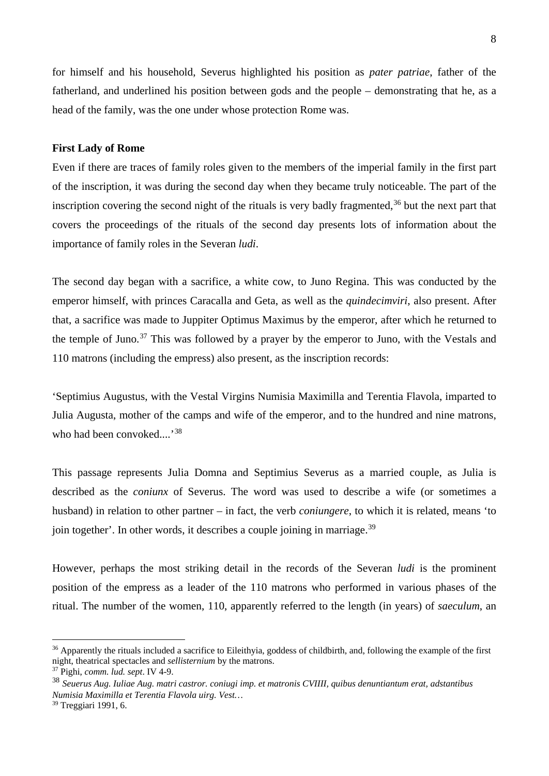for himself and his household, Severus highlighted his position as *pater patriae*, father of the fatherland, and underlined his position between gods and the people – demonstrating that he, as a head of the family, was the one under whose protection Rome was.

### **First Lady of Rome**

Even if there are traces of family roles given to the members of the imperial family in the first part of the inscription, it was during the second day when they became truly noticeable. The part of the inscription covering the second night of the rituals is very badly fragmented, $36$  but the next part that covers the proceedings of the rituals of the second day presents lots of information about the importance of family roles in the Severan *ludi*.

The second day began with a sacrifice, a white cow, to Juno Regina. This was conducted by the emperor himself, with princes Caracalla and Geta, as well as the *quindecimviri*, also present. After that, a sacrifice was made to Juppiter Optimus Maximus by the emperor, after which he returned to the temple of Juno.<sup>[37](#page-7-1)</sup> This was followed by a prayer by the emperor to Juno, with the Vestals and 110 matrons (including the empress) also present, as the inscription records:

'Septimius Augustus, with the Vestal Virgins Numisia Maximilla and Terentia Flavola, imparted to Julia Augusta, mother of the camps and wife of the emperor, and to the hundred and nine matrons, who had been convoked....'[38](#page-7-2)

This passage represents Julia Domna and Septimius Severus as a married couple, as Julia is described as the *coniunx* of Severus. The word was used to describe a wife (or sometimes a husband) in relation to other partner – in fact, the verb *coniungere*, to which it is related, means 'to join together'. In other words, it describes a couple joining in marriage.<sup>[39](#page-7-3)</sup>

However, perhaps the most striking detail in the records of the Severan *ludi* is the prominent position of the empress as a leader of the 110 matrons who performed in various phases of the ritual. The number of the women, 110, apparently referred to the length (in years) of *saeculum*, an

<span id="page-7-0"></span><sup>&</sup>lt;sup>36</sup> Apparently the rituals included a sacrifice to Eileithyia, goddess of childbirth, and, following the example of the first night, theatrical spectacles and *sellisternium* by the matrons.

<span id="page-7-1"></span><sup>37</sup> Pighi, *comm. lud. sept*. IV 4-9.

<span id="page-7-2"></span><sup>38</sup> *Seuerus Aug. Iuliae Aug. matri castror. coniugi imp. et matronis CVIIII, quibus denuntiantum erat, adstantibus Numisia Maximilla et Terentia Flavola uirg. Vest…*

<span id="page-7-3"></span><sup>39</sup> Treggiari 1991, 6.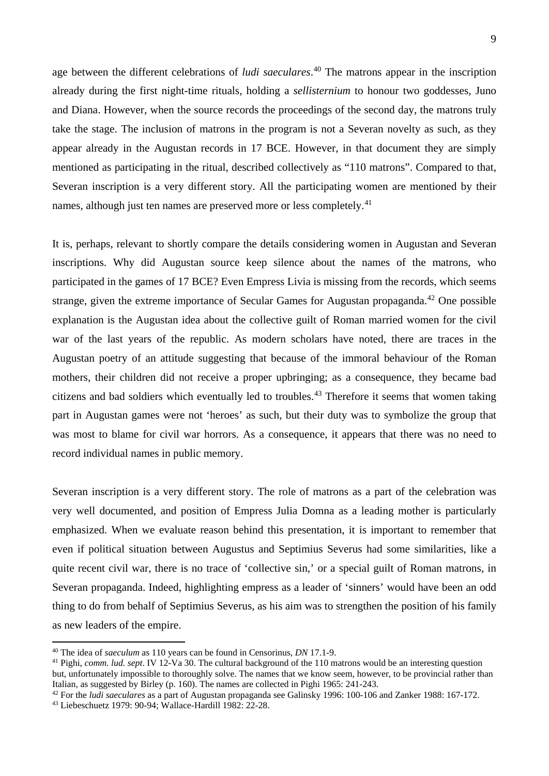age between the different celebrations of *ludi saeculares*. [40](#page-8-0) The matrons appear in the inscription already during the first night-time rituals, holding a *sellisternium* to honour two goddesses, Juno and Diana. However, when the source records the proceedings of the second day, the matrons truly take the stage. The inclusion of matrons in the program is not a Severan novelty as such, as they appear already in the Augustan records in 17 BCE. However, in that document they are simply mentioned as participating in the ritual, described collectively as "110 matrons". Compared to that, Severan inscription is a very different story. All the participating women are mentioned by their names, although just ten names are preserved more or less completely.<sup>[41](#page-8-1)</sup>

It is, perhaps, relevant to shortly compare the details considering women in Augustan and Severan inscriptions. Why did Augustan source keep silence about the names of the matrons, who participated in the games of 17 BCE? Even Empress Livia is missing from the records, which seems strange, given the extreme importance of Secular Games for Augustan propaganda.<sup>[42](#page-8-2)</sup> One possible explanation is the Augustan idea about the collective guilt of Roman married women for the civil war of the last years of the republic. As modern scholars have noted, there are traces in the Augustan poetry of an attitude suggesting that because of the immoral behaviour of the Roman mothers, their children did not receive a proper upbringing; as a consequence, they became bad citizens and bad soldiers which eventually led to troubles. [43](#page-8-3) Therefore it seems that women taking part in Augustan games were not 'heroes' as such, but their duty was to symbolize the group that was most to blame for civil war horrors. As a consequence, it appears that there was no need to record individual names in public memory.

Severan inscription is a very different story. The role of matrons as a part of the celebration was very well documented, and position of Empress Julia Domna as a leading mother is particularly emphasized. When we evaluate reason behind this presentation, it is important to remember that even if political situation between Augustus and Septimius Severus had some similarities, like a quite recent civil war, there is no trace of 'collective sin,' or a special guilt of Roman matrons, in Severan propaganda. Indeed, highlighting empress as a leader of 'sinners' would have been an odd thing to do from behalf of Septimius Severus, as his aim was to strengthen the position of his family as new leaders of the empire.

<span id="page-8-0"></span> <sup>40</sup> The idea of *saeculum* as 110 years can be found in Censorinus, *DN* 17.1-9.

<span id="page-8-1"></span><sup>41</sup> Pighi, *comm. lud. sept*. IV 12-Va 30. The cultural background of the 110 matrons would be an interesting question but, unfortunately impossible to thoroughly solve. The names that we know seem, however, to be provincial rather than Italian, as suggested by Birley (p. 160). The names are collected in Pighi 1965: 241-243.

<span id="page-8-2"></span><sup>42</sup> For the *ludi saeculares* as a part of Augustan propaganda see Galinsky 1996: 100-106 and Zanker 1988: 167-172.

<span id="page-8-3"></span><sup>43</sup> Liebeschuetz 1979: 90-94; Wallace-Hardill 1982: 22-28.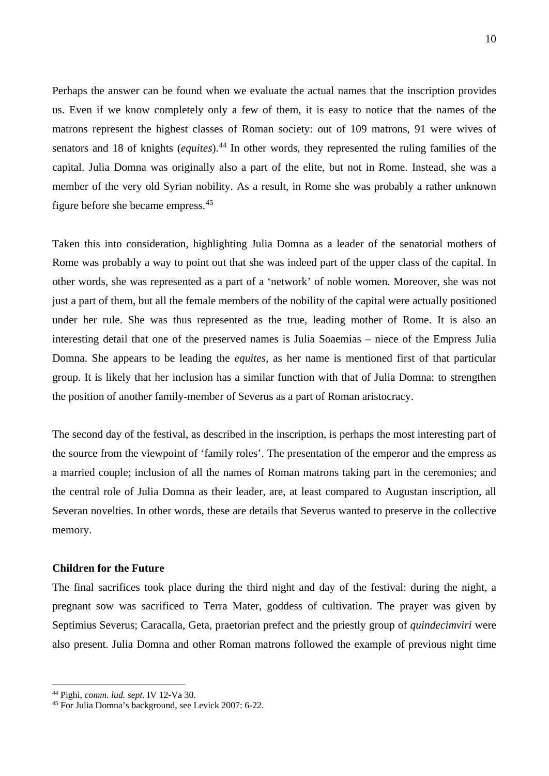Perhaps the answer can be found when we evaluate the actual names that the inscription provides us. Even if we know completely only a few of them, it is easy to notice that the names of the matrons represent the highest classes of Roman society: out of 109 matrons, 91 were wives of senators and 18 of knights (*equites*). [44](#page-9-0) In other words, they represented the ruling families of the capital. Julia Domna was originally also a part of the elite, but not in Rome. Instead, she was a member of the very old Syrian nobility. As a result, in Rome she was probably a rather unknown figure before she became empress.[45](#page-9-1)

Taken this into consideration, highlighting Julia Domna as a leader of the senatorial mothers of Rome was probably a way to point out that she was indeed part of the upper class of the capital. In other words, she was represented as a part of a 'network' of noble women. Moreover, she was not just a part of them, but all the female members of the nobility of the capital were actually positioned under her rule. She was thus represented as the true, leading mother of Rome. It is also an interesting detail that one of the preserved names is Julia Soaemias – niece of the Empress Julia Domna. She appears to be leading the *equites*, as her name is mentioned first of that particular group. It is likely that her inclusion has a similar function with that of Julia Domna: to strengthen the position of another family-member of Severus as a part of Roman aristocracy.

The second day of the festival, as described in the inscription, is perhaps the most interesting part of the source from the viewpoint of 'family roles'. The presentation of the emperor and the empress as a married couple; inclusion of all the names of Roman matrons taking part in the ceremonies; and the central role of Julia Domna as their leader, are, at least compared to Augustan inscription, all Severan novelties. In other words, these are details that Severus wanted to preserve in the collective memory.

## **Children for the Future**

The final sacrifices took place during the third night and day of the festival: during the night, a pregnant sow was sacrificed to Terra Mater, goddess of cultivation. The prayer was given by Septimius Severus; Caracalla, Geta, praetorian prefect and the priestly group of *quindecimviri* were also present. Julia Domna and other Roman matrons followed the example of previous night time

<span id="page-9-0"></span> <sup>44</sup> Pighi, *comm. lud. sept*. IV 12-Va 30.

<span id="page-9-1"></span><sup>45</sup> For Julia Domna's background, see Levick 2007: 6-22.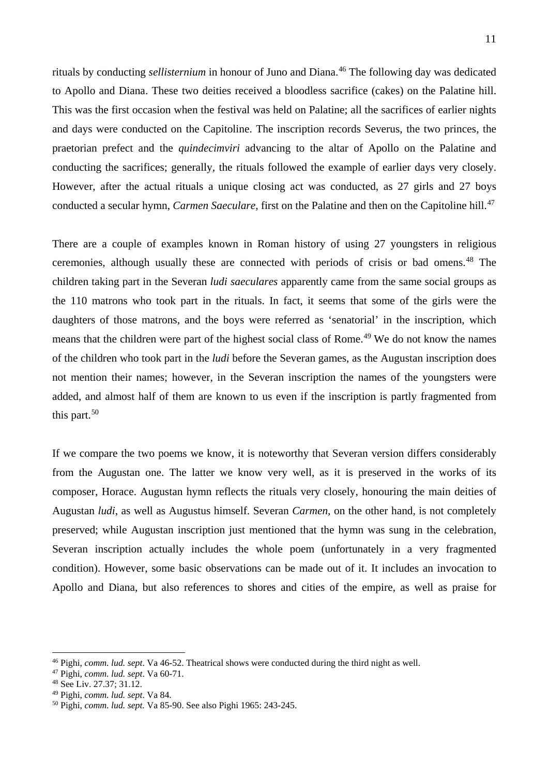rituals by conducting *sellisternium* in honour of Juno and Diana.<sup>[46](#page-10-0)</sup> The following day was dedicated to Apollo and Diana. These two deities received a bloodless sacrifice (cakes) on the Palatine hill. This was the first occasion when the festival was held on Palatine; all the sacrifices of earlier nights and days were conducted on the Capitoline. The inscription records Severus, the two princes, the praetorian prefect and the *quindecimviri* advancing to the altar of Apollo on the Palatine and conducting the sacrifices; generally, the rituals followed the example of earlier days very closely. However, after the actual rituals a unique closing act was conducted, as 27 girls and 27 boys conducted a secular hymn, *Carmen Saeculare*, first on the Palatine and then on the Capitoline hill.[47](#page-10-1)

There are a couple of examples known in Roman history of using 27 youngsters in religious ceremonies, although usually these are connected with periods of crisis or bad omens. [48](#page-10-2) The children taking part in the Severan *ludi saeculares* apparently came from the same social groups as the 110 matrons who took part in the rituals. In fact, it seems that some of the girls were the daughters of those matrons, and the boys were referred as 'senatorial' in the inscription, which means that the children were part of the highest social class of Rome.<sup>[49](#page-10-3)</sup> We do not know the names of the children who took part in the *ludi* before the Severan games, as the Augustan inscription does not mention their names; however, in the Severan inscription the names of the youngsters were added, and almost half of them are known to us even if the inscription is partly fragmented from this part. $50$ 

If we compare the two poems we know, it is noteworthy that Severan version differs considerably from the Augustan one. The latter we know very well, as it is preserved in the works of its composer, Horace. Augustan hymn reflects the rituals very closely, honouring the main deities of Augustan *ludi*, as well as Augustus himself. Severan *Carmen,* on the other hand*,* is not completely preserved; while Augustan inscription just mentioned that the hymn was sung in the celebration, Severan inscription actually includes the whole poem (unfortunately in a very fragmented condition). However, some basic observations can be made out of it. It includes an invocation to Apollo and Diana, but also references to shores and cities of the empire, as well as praise for

<span id="page-10-0"></span> <sup>46</sup> Pighi, *comm. lud. sept*. Va 46-52. Theatrical shows were conducted during the third night as well.

<span id="page-10-1"></span><sup>47</sup> Pighi, *comm. lud. sept*. Va 60-71.

<span id="page-10-2"></span><sup>&</sup>lt;sup>48</sup> See Liv. 27.37; 31.12.<br><sup>49</sup> Pighi, *comm. lud. sept.* Va 84.

<span id="page-10-4"></span><span id="page-10-3"></span><sup>&</sup>lt;sup>50</sup> Pighi, *comm. lud. sept.* Va 85-90. See also Pighi 1965: 243-245.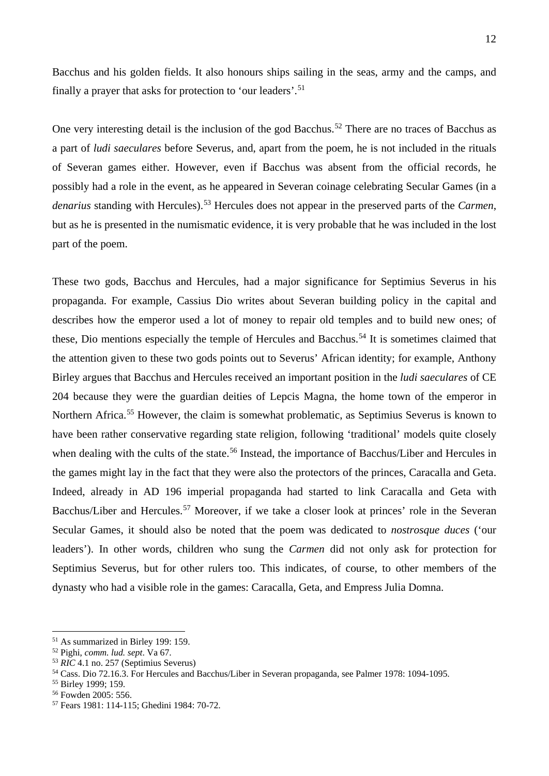Bacchus and his golden fields. It also honours ships sailing in the seas, army and the camps, and finally a prayer that asks for protection to 'our leaders'.<sup>[51](#page-11-0)</sup>

One very interesting detail is the inclusion of the god Bacchus.<sup>[52](#page-11-1)</sup> There are no traces of Bacchus as a part of *ludi saeculares* before Severus, and, apart from the poem, he is not included in the rituals of Severan games either. However, even if Bacchus was absent from the official records, he possibly had a role in the event, as he appeared in Severan coinage celebrating Secular Games (in a *denarius* standing with Hercules). [53](#page-11-2) Hercules does not appear in the preserved parts of the *Carmen*, but as he is presented in the numismatic evidence, it is very probable that he was included in the lost part of the poem.

These two gods, Bacchus and Hercules, had a major significance for Septimius Severus in his propaganda. For example, Cassius Dio writes about Severan building policy in the capital and describes how the emperor used a lot of money to repair old temples and to build new ones; of these, Dio mentions especially the temple of Hercules and Bacchus.<sup>[54](#page-11-3)</sup> It is sometimes claimed that the attention given to these two gods points out to Severus' African identity; for example, Anthony Birley argues that Bacchus and Hercules received an important position in the *ludi saeculares* of CE 204 because they were the guardian deities of Lepcis Magna, the home town of the emperor in Northern Africa.<sup>[55](#page-11-4)</sup> However, the claim is somewhat problematic, as Septimius Severus is known to have been rather conservative regarding state religion, following 'traditional' models quite closely when dealing with the cults of the state.<sup>[56](#page-11-5)</sup> Instead, the importance of Bacchus/Liber and Hercules in the games might lay in the fact that they were also the protectors of the princes, Caracalla and Geta. Indeed, already in AD 196 imperial propaganda had started to link Caracalla and Geta with Bacchus/Liber and Hercules.<sup>[57](#page-11-6)</sup> Moreover, if we take a closer look at princes' role in the Severan Secular Games, it should also be noted that the poem was dedicated to *nostrosque duces* ('our leaders'). In other words, children who sung the *Carmen* did not only ask for protection for Septimius Severus, but for other rulers too. This indicates, of course, to other members of the dynasty who had a visible role in the games: Caracalla, Geta, and Empress Julia Domna.

<span id="page-11-0"></span> <sup>51</sup> As summarized in Birley 199: 159.

<span id="page-11-1"></span><sup>52</sup> Pighi, *comm. lud. sept*. Va 67.

<span id="page-11-2"></span><sup>53</sup> *RIC* 4.1 no. 257 (Septimius Severus)

<span id="page-11-3"></span><sup>54</sup> Cass. Dio 72.16.3. For Hercules and Bacchus/Liber in Severan propaganda, see Palmer 1978: 1094-1095.

<span id="page-11-4"></span><sup>55</sup> Birley 1999; 159.

<span id="page-11-5"></span><sup>56</sup> Fowden 2005: 556.

<span id="page-11-6"></span><sup>57</sup> Fears 1981: 114-115; Ghedini 1984: 70-72.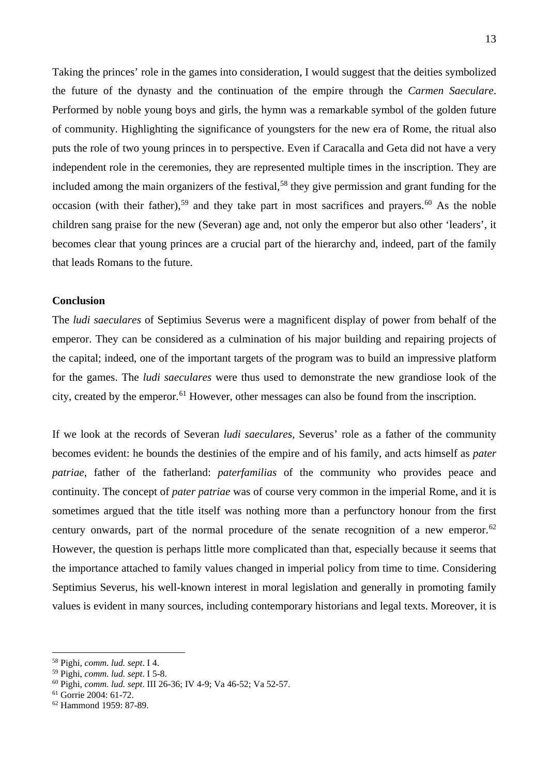Taking the princes' role in the games into consideration, I would suggest that the deities symbolized the future of the dynasty and the continuation of the empire through the *Carmen Saeculare*. Performed by noble young boys and girls, the hymn was a remarkable symbol of the golden future of community. Highlighting the significance of youngsters for the new era of Rome, the ritual also puts the role of two young princes in to perspective. Even if Caracalla and Geta did not have a very independent role in the ceremonies, they are represented multiple times in the inscription. They are included among the main organizers of the festival,<sup>[58](#page-12-0)</sup> they give permission and grant funding for the occasion (with their father),<sup>[59](#page-12-1)</sup> and they take part in most sacrifices and prayers.<sup>[60](#page-12-2)</sup> As the noble children sang praise for the new (Severan) age and, not only the emperor but also other 'leaders', it becomes clear that young princes are a crucial part of the hierarchy and, indeed, part of the family that leads Romans to the future.

## **Conclusion**

The *ludi saeculares* of Septimius Severus were a magnificent display of power from behalf of the emperor. They can be considered as a culmination of his major building and repairing projects of the capital; indeed, one of the important targets of the program was to build an impressive platform for the games. The *ludi saeculares* were thus used to demonstrate the new grandiose look of the city, created by the emperor.<sup>[61](#page-12-3)</sup> However, other messages can also be found from the inscription.

If we look at the records of Severan *ludi saeculares,* Severus' role as a father of the community becomes evident: he bounds the destinies of the empire and of his family, and acts himself as *pater patriae*, father of the fatherland: *paterfamilias* of the community who provides peace and continuity. The concept of *pater patriae* was of course very common in the imperial Rome, and it is sometimes argued that the title itself was nothing more than a perfunctory honour from the first century onwards, part of the normal procedure of the senate recognition of a new emperor.<sup>[62](#page-12-4)</sup> However, the question is perhaps little more complicated than that, especially because it seems that the importance attached to family values changed in imperial policy from time to time. Considering Septimius Severus, his well-known interest in moral legislation and generally in promoting family values is evident in many sources, including contemporary historians and legal texts. Moreover, it is

<span id="page-12-0"></span> <sup>58</sup> Pighi, *comm. lud. sept*. I 4.

<span id="page-12-1"></span><sup>59</sup> Pighi, *comm. lud. sept*. I 5-8.

<span id="page-12-2"></span><sup>60</sup> Pighi, *comm. lud. sept*. III 26-36; IV 4-9; Va 46-52; Va 52-57.

<span id="page-12-3"></span><sup>61</sup> Gorrie 2004: 61-72.

<span id="page-12-4"></span><sup>62</sup> Hammond 1959: 87-89.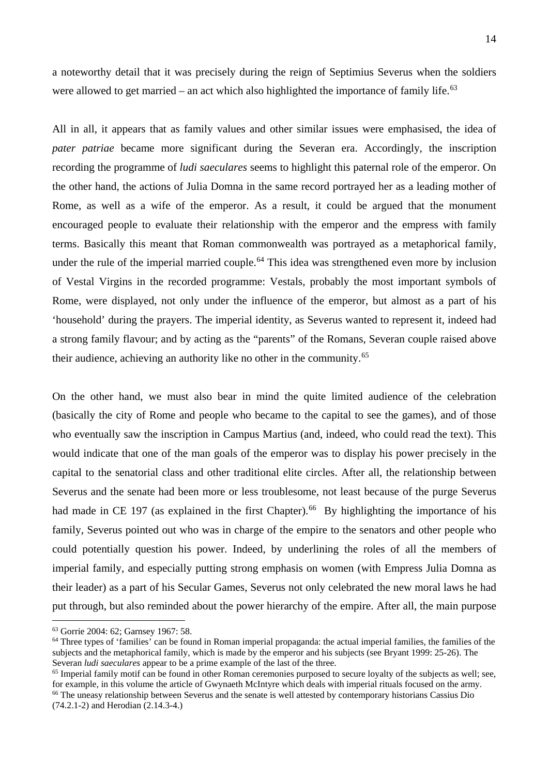a noteworthy detail that it was precisely during the reign of Septimius Severus when the soldiers were allowed to get married – an act which also highlighted the importance of family life. $63$ 

All in all, it appears that as family values and other similar issues were emphasised, the idea of *pater patriae* became more significant during the Severan era. Accordingly, the inscription recording the programme of *ludi saeculares* seems to highlight this paternal role of the emperor. On the other hand, the actions of Julia Domna in the same record portrayed her as a leading mother of Rome, as well as a wife of the emperor. As a result, it could be argued that the monument encouraged people to evaluate their relationship with the emperor and the empress with family terms. Basically this meant that Roman commonwealth was portrayed as a metaphorical family, under the rule of the imperial married couple.<sup>[64](#page-13-1)</sup> This idea was strengthened even more by inclusion of Vestal Virgins in the recorded programme: Vestals, probably the most important symbols of Rome, were displayed, not only under the influence of the emperor, but almost as a part of his 'household' during the prayers. The imperial identity, as Severus wanted to represent it, indeed had a strong family flavour; and by acting as the "parents" of the Romans, Severan couple raised above their audience, achieving an authority like no other in the community.<sup>[65](#page-13-2)</sup>

On the other hand, we must also bear in mind the quite limited audience of the celebration (basically the city of Rome and people who became to the capital to see the games), and of those who eventually saw the inscription in Campus Martius (and, indeed, who could read the text). This would indicate that one of the man goals of the emperor was to display his power precisely in the capital to the senatorial class and other traditional elite circles. After all, the relationship between Severus and the senate had been more or less troublesome, not least because of the purge Severus had made in CE 197 (as explained in the first Chapter).<sup>[66](#page-13-3)</sup> By highlighting the importance of his family, Severus pointed out who was in charge of the empire to the senators and other people who could potentially question his power. Indeed, by underlining the roles of all the members of imperial family, and especially putting strong emphasis on women (with Empress Julia Domna as their leader) as a part of his Secular Games, Severus not only celebrated the new moral laws he had put through, but also reminded about the power hierarchy of the empire. After all, the main purpose

<span id="page-13-0"></span> <sup>63</sup> Gorrie 2004: 62; Garnsey 1967: 58.

<span id="page-13-1"></span> $64$  Three types of 'families' can be found in Roman imperial propaganda: the actual imperial families, the families of the subjects and the metaphorical family, which is made by the emperor and his subjects (see Bryant 1999: 25-26). The Severan *ludi saeculares* appear to be a prime example of the last of the three.

<span id="page-13-3"></span><span id="page-13-2"></span><sup>&</sup>lt;sup>65</sup> Imperial family motif can be found in other Roman ceremonies purposed to secure loyalty of the subjects as well; see, for example, in this volume the article of Gwynaeth McIntyre which deals with imperial rituals focused on the army. <sup>66</sup> The uneasy relationship between Severus and the senate is well attested by contemporary historians Cassius Dio (74.2.1-2) and Herodian (2.14.3-4.)